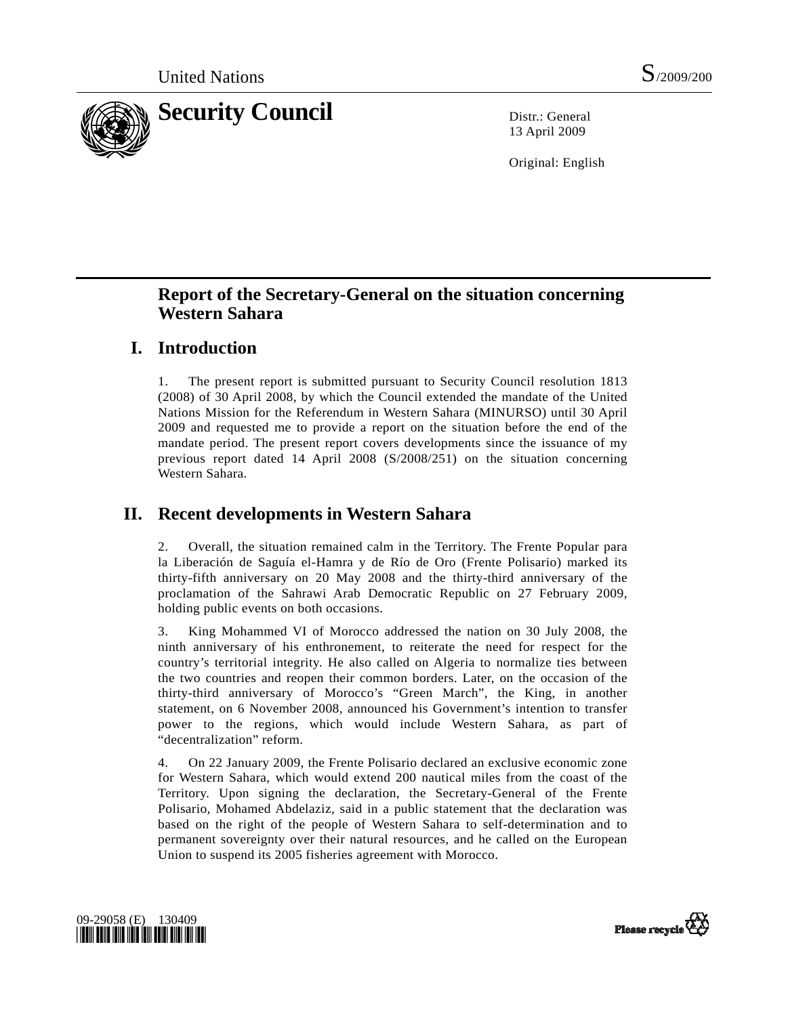

13 April 2009

Original: English

# **Report of the Secretary-General on the situation concerning Western Sahara**

# **I. Introduction**

1. The present report is submitted pursuant to Security Council resolution 1813 (2008) of 30 April 2008, by which the Council extended the mandate of the United Nations Mission for the Referendum in Western Sahara (MINURSO) until 30 April 2009 and requested me to provide a report on the situation before the end of the mandate period. The present report covers developments since the issuance of my previous report dated 14 April 2008 (S/2008/251) on the situation concerning Western Sahara.

# **II. Recent developments in Western Sahara**

2. Overall, the situation remained calm in the Territory. The Frente Popular para la Liberación de Saguía el-Hamra y de Río de Oro (Frente Polisario) marked its thirty-fifth anniversary on 20 May 2008 and the thirty-third anniversary of the proclamation of the Sahrawi Arab Democratic Republic on 27 February 2009, holding public events on both occasions.

3. King Mohammed VI of Morocco addressed the nation on 30 July 2008, the ninth anniversary of his enthronement, to reiterate the need for respect for the country's territorial integrity. He also called on Algeria to normalize ties between the two countries and reopen their common borders. Later, on the occasion of the thirty-third anniversary of Morocco's "Green March", the King, in another statement, on 6 November 2008, announced his Government's intention to transfer power to the regions, which would include Western Sahara, as part of "decentralization" reform.

4. On 22 January 2009, the Frente Polisario declared an exclusive economic zone for Western Sahara, which would extend 200 nautical miles from the coast of the Territory. Upon signing the declaration, the Secretary-General of the Frente Polisario, Mohamed Abdelaziz, said in a public statement that the declaration was based on the right of the people of Western Sahara to self-determination and to permanent sovereignty over their natural resources, and he called on the European Union to suspend its 2005 fisheries agreement with Morocco.



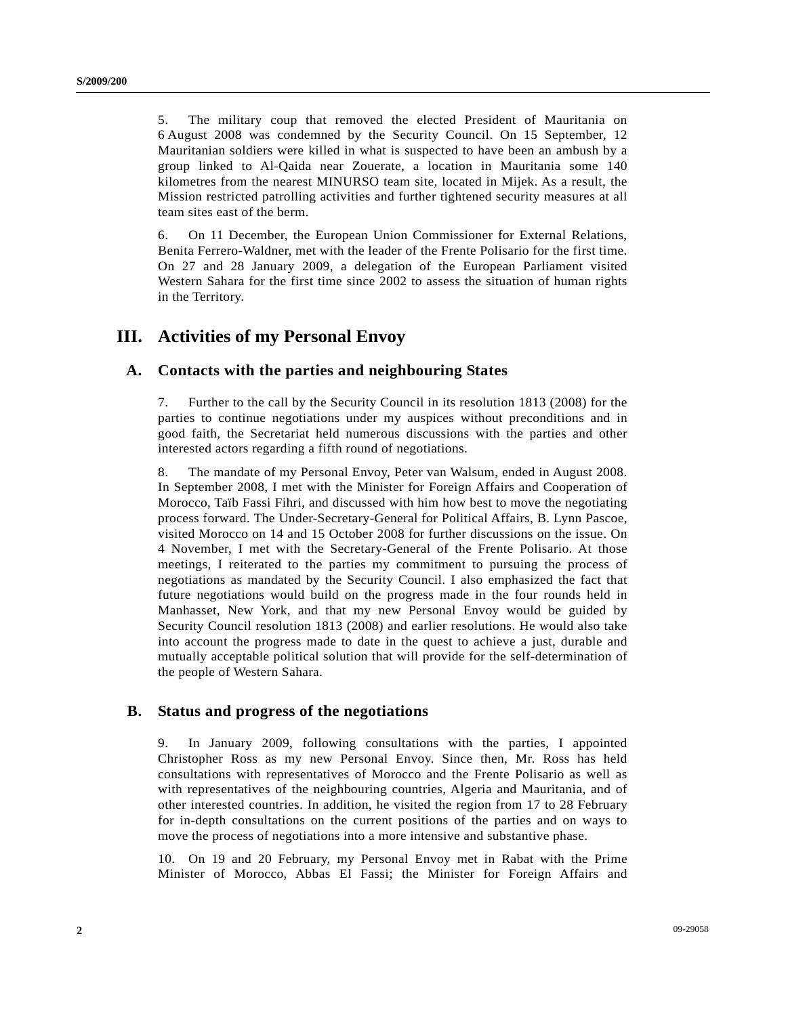5. The military coup that removed the elected President of Mauritania on 6 August 2008 was condemned by the Security Council. On 15 September, 12 Mauritanian soldiers were killed in what is suspected to have been an ambush by a group linked to Al-Qaida near Zouerate, a location in Mauritania some 140 kilometres from the nearest MINURSO team site, located in Mijek. As a result, the Mission restricted patrolling activities and further tightened security measures at all team sites east of the berm.

6. On 11 December, the European Union Commissioner for External Relations, Benita Ferrero-Waldner, met with the leader of the Frente Polisario for the first time. On 27 and 28 January 2009, a delegation of the European Parliament visited Western Sahara for the first time since 2002 to assess the situation of human rights in the Territory.

### **III. Activities of my Personal Envoy**

#### **A. Contacts with the parties and neighbouring States**

7. Further to the call by the Security Council in its resolution 1813 (2008) for the parties to continue negotiations under my auspices without preconditions and in good faith, the Secretariat held numerous discussions with the parties and other interested actors regarding a fifth round of negotiations.

8. The mandate of my Personal Envoy, Peter van Walsum, ended in August 2008. In September 2008, I met with the Minister for Foreign Affairs and Cooperation of Morocco, Taïb Fassi Fihri, and discussed with him how best to move the negotiating process forward. The Under-Secretary-General for Political Affairs, B. Lynn Pascoe, visited Morocco on 14 and 15 October 2008 for further discussions on the issue. On 4 November, I met with the Secretary-General of the Frente Polisario. At those meetings, I reiterated to the parties my commitment to pursuing the process of negotiations as mandated by the Security Council. I also emphasized the fact that future negotiations would build on the progress made in the four rounds held in Manhasset, New York, and that my new Personal Envoy would be guided by Security Council resolution 1813 (2008) and earlier resolutions. He would also take into account the progress made to date in the quest to achieve a just, durable and mutually acceptable political solution that will provide for the self-determination of the people of Western Sahara.

#### **B. Status and progress of the negotiations**

9. In January 2009, following consultations with the parties, I appointed Christopher Ross as my new Personal Envoy. Since then, Mr. Ross has held consultations with representatives of Morocco and the Frente Polisario as well as with representatives of the neighbouring countries, Algeria and Mauritania, and of other interested countries. In addition, he visited the region from 17 to 28 February for in-depth consultations on the current positions of the parties and on ways to move the process of negotiations into a more intensive and substantive phase.

10. On 19 and 20 February, my Personal Envoy met in Rabat with the Prime Minister of Morocco, Abbas El Fassi; the Minister for Foreign Affairs and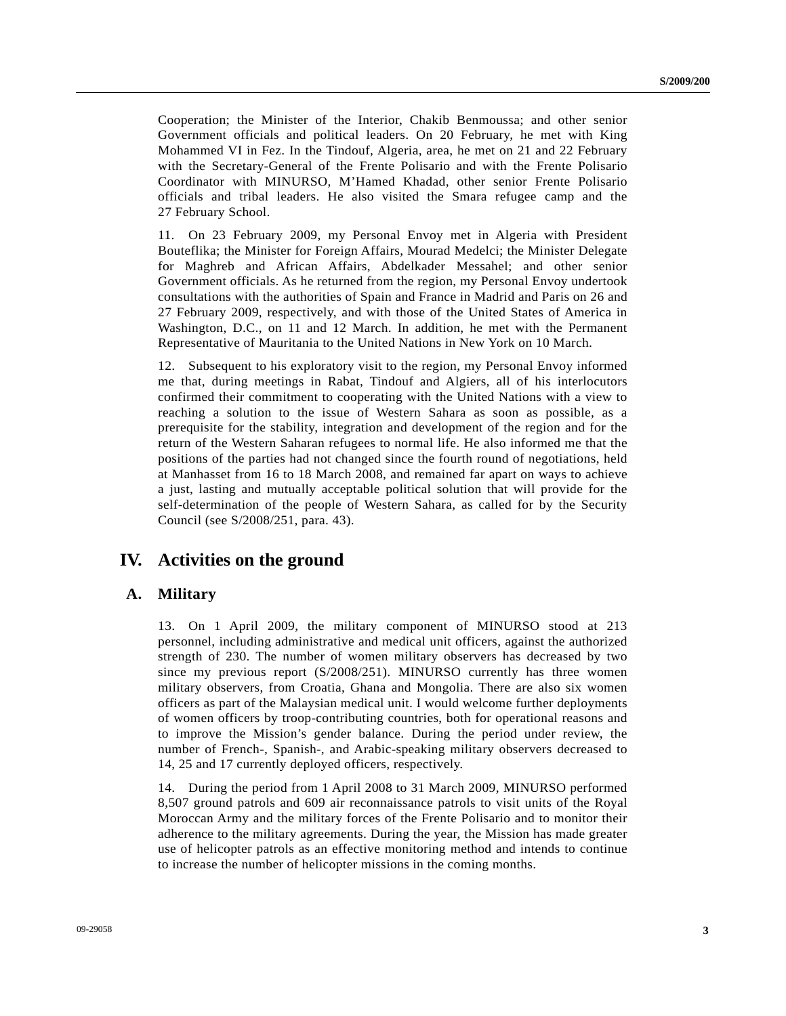Cooperation; the Minister of the Interior, Chakib Benmoussa; and other senior Government officials and political leaders. On 20 February, he met with King Mohammed VI in Fez. In the Tindouf, Algeria, area, he met on 21 and 22 February with the Secretary-General of the Frente Polisario and with the Frente Polisario Coordinator with MINURSO, M'Hamed Khadad, other senior Frente Polisario officials and tribal leaders. He also visited the Smara refugee camp and the 27 February School.

11. On 23 February 2009, my Personal Envoy met in Algeria with President Bouteflika; the Minister for Foreign Affairs, Mourad Medelci; the Minister Delegate for Maghreb and African Affairs, Abdelkader Messahel; and other senior Government officials. As he returned from the region, my Personal Envoy undertook consultations with the authorities of Spain and France in Madrid and Paris on 26 and 27 February 2009, respectively, and with those of the United States of America in Washington, D.C., on 11 and 12 March. In addition, he met with the Permanent Representative of Mauritania to the United Nations in New York on 10 March.

12. Subsequent to his exploratory visit to the region, my Personal Envoy informed me that, during meetings in Rabat, Tindouf and Algiers, all of his interlocutors confirmed their commitment to cooperating with the United Nations with a view to reaching a solution to the issue of Western Sahara as soon as possible, as a prerequisite for the stability, integration and development of the region and for the return of the Western Saharan refugees to normal life. He also informed me that the positions of the parties had not changed since the fourth round of negotiations, held at Manhasset from 16 to 18 March 2008, and remained far apart on ways to achieve a just, lasting and mutually acceptable political solution that will provide for the self-determination of the people of Western Sahara, as called for by the Security Council (see S/2008/251, para. 43).

### **IV. Activities on the ground**

#### **A. Military**

13. On 1 April 2009, the military component of MINURSO stood at 213 personnel, including administrative and medical unit officers, against the authorized strength of 230. The number of women military observers has decreased by two since my previous report (S/2008/251). MINURSO currently has three women military observers, from Croatia, Ghana and Mongolia. There are also six women officers as part of the Malaysian medical unit. I would welcome further deployments of women officers by troop-contributing countries, both for operational reasons and to improve the Mission's gender balance. During the period under review, the number of French-, Spanish-, and Arabic-speaking military observers decreased to 14, 25 and 17 currently deployed officers, respectively.

14. During the period from 1 April 2008 to 31 March 2009, MINURSO performed 8,507 ground patrols and 609 air reconnaissance patrols to visit units of the Royal Moroccan Army and the military forces of the Frente Polisario and to monitor their adherence to the military agreements. During the year, the Mission has made greater use of helicopter patrols as an effective monitoring method and intends to continue to increase the number of helicopter missions in the coming months.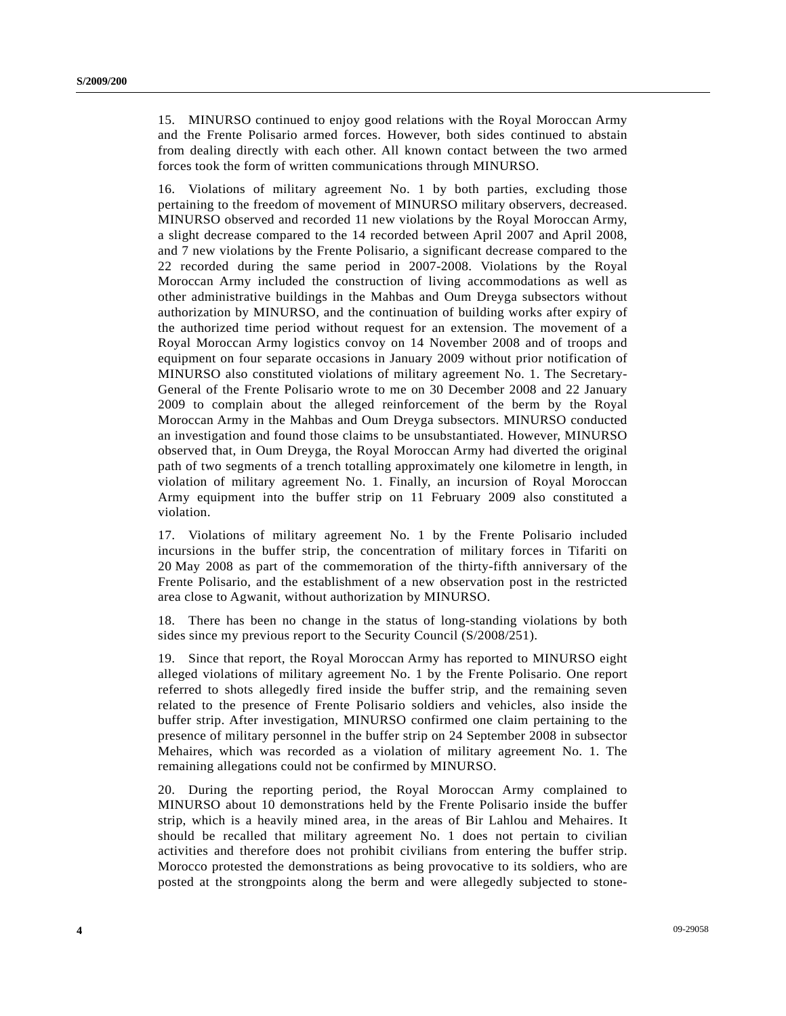15. MINURSO continued to enjoy good relations with the Royal Moroccan Army and the Frente Polisario armed forces. However, both sides continued to abstain from dealing directly with each other. All known contact between the two armed forces took the form of written communications through MINURSO.

16. Violations of military agreement No. 1 by both parties, excluding those pertaining to the freedom of movement of MINURSO military observers, decreased. MINURSO observed and recorded 11 new violations by the Royal Moroccan Army, a slight decrease compared to the 14 recorded between April 2007 and April 2008, and 7 new violations by the Frente Polisario, a significant decrease compared to the 22 recorded during the same period in 2007-2008. Violations by the Royal Moroccan Army included the construction of living accommodations as well as other administrative buildings in the Mahbas and Oum Dreyga subsectors without authorization by MINURSO, and the continuation of building works after expiry of the authorized time period without request for an extension. The movement of a Royal Moroccan Army logistics convoy on 14 November 2008 and of troops and equipment on four separate occasions in January 2009 without prior notification of MINURSO also constituted violations of military agreement No. 1. The Secretary-General of the Frente Polisario wrote to me on 30 December 2008 and 22 January 2009 to complain about the alleged reinforcement of the berm by the Royal Moroccan Army in the Mahbas and Oum Dreyga subsectors. MINURSO conducted an investigation and found those claims to be unsubstantiated. However, MINURSO observed that, in Oum Dreyga, the Royal Moroccan Army had diverted the original path of two segments of a trench totalling approximately one kilometre in length, in violation of military agreement No. 1. Finally, an incursion of Royal Moroccan Army equipment into the buffer strip on 11 February 2009 also constituted a violation.

17. Violations of military agreement No. 1 by the Frente Polisario included incursions in the buffer strip, the concentration of military forces in Tifariti on 20 May 2008 as part of the commemoration of the thirty-fifth anniversary of the Frente Polisario, and the establishment of a new observation post in the restricted area close to Agwanit, without authorization by MINURSO.

18. There has been no change in the status of long-standing violations by both sides since my previous report to the Security Council (S/2008/251).

19. Since that report, the Royal Moroccan Army has reported to MINURSO eight alleged violations of military agreement No. 1 by the Frente Polisario. One report referred to shots allegedly fired inside the buffer strip, and the remaining seven related to the presence of Frente Polisario soldiers and vehicles, also inside the buffer strip. After investigation, MINURSO confirmed one claim pertaining to the presence of military personnel in the buffer strip on 24 September 2008 in subsector Mehaires, which was recorded as a violation of military agreement No. 1. The remaining allegations could not be confirmed by MINURSO.

20. During the reporting period, the Royal Moroccan Army complained to MINURSO about 10 demonstrations held by the Frente Polisario inside the buffer strip, which is a heavily mined area, in the areas of Bir Lahlou and Mehaires. It should be recalled that military agreement No. 1 does not pertain to civilian activities and therefore does not prohibit civilians from entering the buffer strip. Morocco protested the demonstrations as being provocative to its soldiers, who are posted at the strongpoints along the berm and were allegedly subjected to stone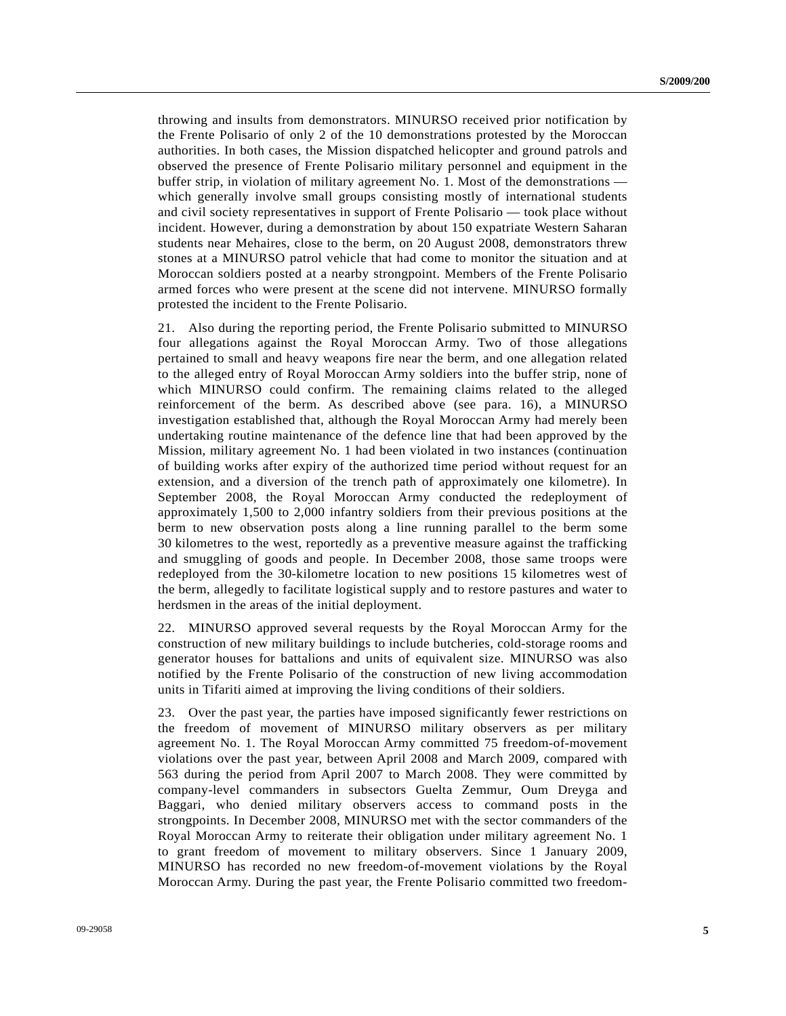throwing and insults from demonstrators. MINURSO received prior notification by the Frente Polisario of only 2 of the 10 demonstrations protested by the Moroccan authorities. In both cases, the Mission dispatched helicopter and ground patrols and observed the presence of Frente Polisario military personnel and equipment in the buffer strip, in violation of military agreement No. 1. Most of the demonstrations which generally involve small groups consisting mostly of international students and civil society representatives in support of Frente Polisario — took place without incident. However, during a demonstration by about 150 expatriate Western Saharan students near Mehaires, close to the berm, on 20 August 2008, demonstrators threw stones at a MINURSO patrol vehicle that had come to monitor the situation and at Moroccan soldiers posted at a nearby strongpoint. Members of the Frente Polisario armed forces who were present at the scene did not intervene. MINURSO formally protested the incident to the Frente Polisario.

21. Also during the reporting period, the Frente Polisario submitted to MINURSO four allegations against the Royal Moroccan Army. Two of those allegations pertained to small and heavy weapons fire near the berm, and one allegation related to the alleged entry of Royal Moroccan Army soldiers into the buffer strip, none of which MINURSO could confirm. The remaining claims related to the alleged reinforcement of the berm. As described above (see para. 16), a MINURSO investigation established that, although the Royal Moroccan Army had merely been undertaking routine maintenance of the defence line that had been approved by the Mission, military agreement No. 1 had been violated in two instances (continuation of building works after expiry of the authorized time period without request for an extension, and a diversion of the trench path of approximately one kilometre). In September 2008, the Royal Moroccan Army conducted the redeployment of approximately 1,500 to 2,000 infantry soldiers from their previous positions at the berm to new observation posts along a line running parallel to the berm some 30 kilometres to the west, reportedly as a preventive measure against the trafficking and smuggling of goods and people. In December 2008, those same troops were redeployed from the 30-kilometre location to new positions 15 kilometres west of the berm, allegedly to facilitate logistical supply and to restore pastures and water to herdsmen in the areas of the initial deployment.

22. MINURSO approved several requests by the Royal Moroccan Army for the construction of new military buildings to include butcheries, cold-storage rooms and generator houses for battalions and units of equivalent size. MINURSO was also notified by the Frente Polisario of the construction of new living accommodation units in Tifariti aimed at improving the living conditions of their soldiers.

23. Over the past year, the parties have imposed significantly fewer restrictions on the freedom of movement of MINURSO military observers as per military agreement No. 1. The Royal Moroccan Army committed 75 freedom-of-movement violations over the past year, between April 2008 and March 2009, compared with 563 during the period from April 2007 to March 2008. They were committed by company-level commanders in subsectors Guelta Zemmur, Oum Dreyga and Baggari, who denied military observers access to command posts in the strongpoints. In December 2008, MINURSO met with the sector commanders of the Royal Moroccan Army to reiterate their obligation under military agreement No. 1 to grant freedom of movement to military observers. Since 1 January 2009, MINURSO has recorded no new freedom-of-movement violations by the Royal Moroccan Army. During the past year, the Frente Polisario committed two freedom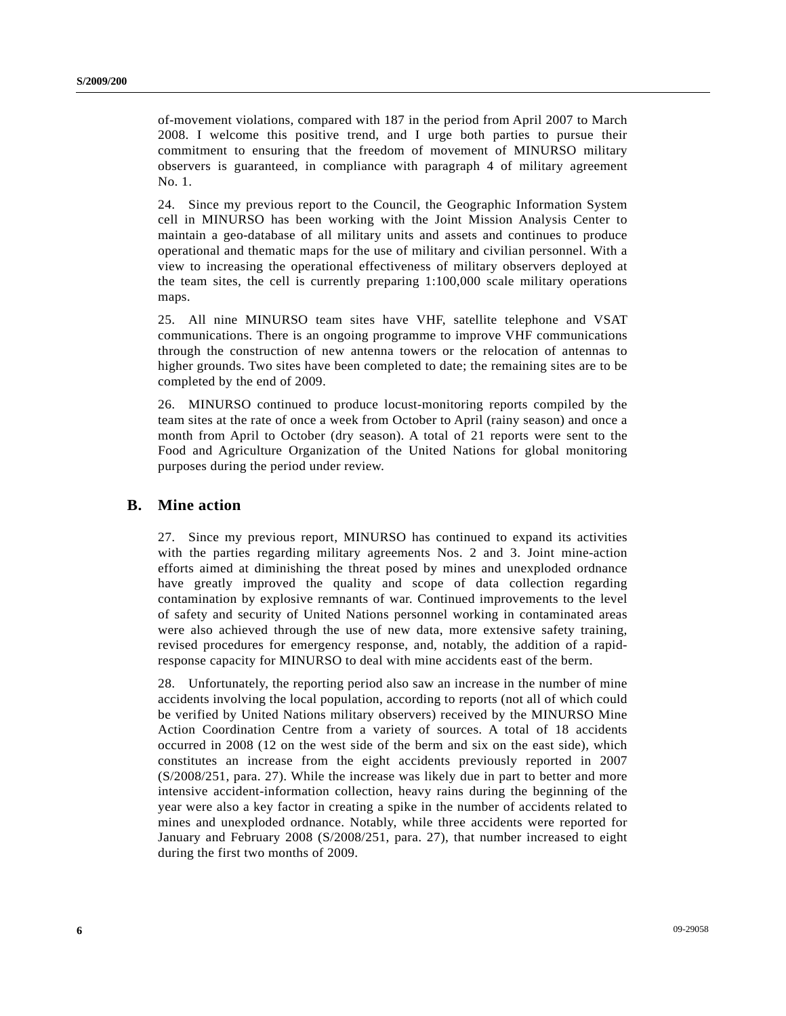of-movement violations, compared with 187 in the period from April 2007 to March 2008. I welcome this positive trend, and I urge both parties to pursue their commitment to ensuring that the freedom of movement of MINURSO military observers is guaranteed, in compliance with paragraph 4 of military agreement No. 1.

24. Since my previous report to the Council, the Geographic Information System cell in MINURSO has been working with the Joint Mission Analysis Center to maintain a geo-database of all military units and assets and continues to produce operational and thematic maps for the use of military and civilian personnel. With a view to increasing the operational effectiveness of military observers deployed at the team sites, the cell is currently preparing 1:100,000 scale military operations maps.

25. All nine MINURSO team sites have VHF, satellite telephone and VSAT communications. There is an ongoing programme to improve VHF communications through the construction of new antenna towers or the relocation of antennas to higher grounds. Two sites have been completed to date; the remaining sites are to be completed by the end of 2009.

26. MINURSO continued to produce locust-monitoring reports compiled by the team sites at the rate of once a week from October to April (rainy season) and once a month from April to October (dry season). A total of 21 reports were sent to the Food and Agriculture Organization of the United Nations for global monitoring purposes during the period under review.

#### **B. Mine action**

27. Since my previous report, MINURSO has continued to expand its activities with the parties regarding military agreements Nos. 2 and 3. Joint mine-action efforts aimed at diminishing the threat posed by mines and unexploded ordnance have greatly improved the quality and scope of data collection regarding contamination by explosive remnants of war. Continued improvements to the level of safety and security of United Nations personnel working in contaminated areas were also achieved through the use of new data, more extensive safety training, revised procedures for emergency response, and, notably, the addition of a rapidresponse capacity for MINURSO to deal with mine accidents east of the berm.

28. Unfortunately, the reporting period also saw an increase in the number of mine accidents involving the local population, according to reports (not all of which could be verified by United Nations military observers) received by the MINURSO Mine Action Coordination Centre from a variety of sources. A total of 18 accidents occurred in 2008 (12 on the west side of the berm and six on the east side), which constitutes an increase from the eight accidents previously reported in 2007 (S/2008/251, para. 27). While the increase was likely due in part to better and more intensive accident-information collection, heavy rains during the beginning of the year were also a key factor in creating a spike in the number of accidents related to mines and unexploded ordnance. Notably, while three accidents were reported for January and February 2008 (S/2008/251, para. 27), that number increased to eight during the first two months of 2009.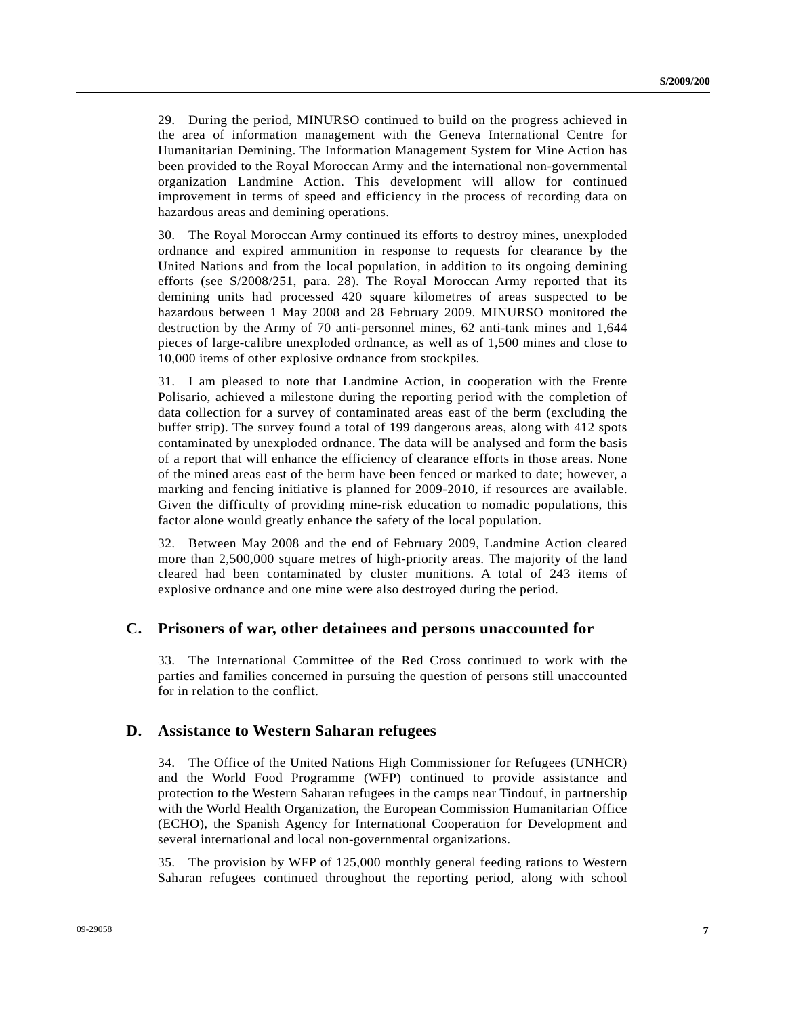29. During the period, MINURSO continued to build on the progress achieved in the area of information management with the Geneva International Centre for Humanitarian Demining. The Information Management System for Mine Action has been provided to the Royal Moroccan Army and the international non-governmental organization Landmine Action. This development will allow for continued improvement in terms of speed and efficiency in the process of recording data on hazardous areas and demining operations.

30. The Royal Moroccan Army continued its efforts to destroy mines, unexploded ordnance and expired ammunition in response to requests for clearance by the United Nations and from the local population, in addition to its ongoing demining efforts (see S/2008/251, para. 28). The Royal Moroccan Army reported that its demining units had processed 420 square kilometres of areas suspected to be hazardous between 1 May 2008 and 28 February 2009. MINURSO monitored the destruction by the Army of 70 anti-personnel mines, 62 anti-tank mines and 1,644 pieces of large-calibre unexploded ordnance, as well as of 1,500 mines and close to 10,000 items of other explosive ordnance from stockpiles.

31. I am pleased to note that Landmine Action, in cooperation with the Frente Polisario, achieved a milestone during the reporting period with the completion of data collection for a survey of contaminated areas east of the berm (excluding the buffer strip). The survey found a total of 199 dangerous areas, along with 412 spots contaminated by unexploded ordnance. The data will be analysed and form the basis of a report that will enhance the efficiency of clearance efforts in those areas. None of the mined areas east of the berm have been fenced or marked to date; however, a marking and fencing initiative is planned for 2009-2010, if resources are available. Given the difficulty of providing mine-risk education to nomadic populations, this factor alone would greatly enhance the safety of the local population.

32. Between May 2008 and the end of February 2009, Landmine Action cleared more than 2,500,000 square metres of high-priority areas. The majority of the land cleared had been contaminated by cluster munitions. A total of 243 items of explosive ordnance and one mine were also destroyed during the period.

#### **C. Prisoners of war, other detainees and persons unaccounted for**

33. The International Committee of the Red Cross continued to work with the parties and families concerned in pursuing the question of persons still unaccounted for in relation to the conflict.

#### **D. Assistance to Western Saharan refugees**

34. The Office of the United Nations High Commissioner for Refugees (UNHCR) and the World Food Programme (WFP) continued to provide assistance and protection to the Western Saharan refugees in the camps near Tindouf, in partnership with the World Health Organization, the European Commission Humanitarian Office (ECHO), the Spanish Agency for International Cooperation for Development and several international and local non-governmental organizations.

35. The provision by WFP of 125,000 monthly general feeding rations to Western Saharan refugees continued throughout the reporting period, along with school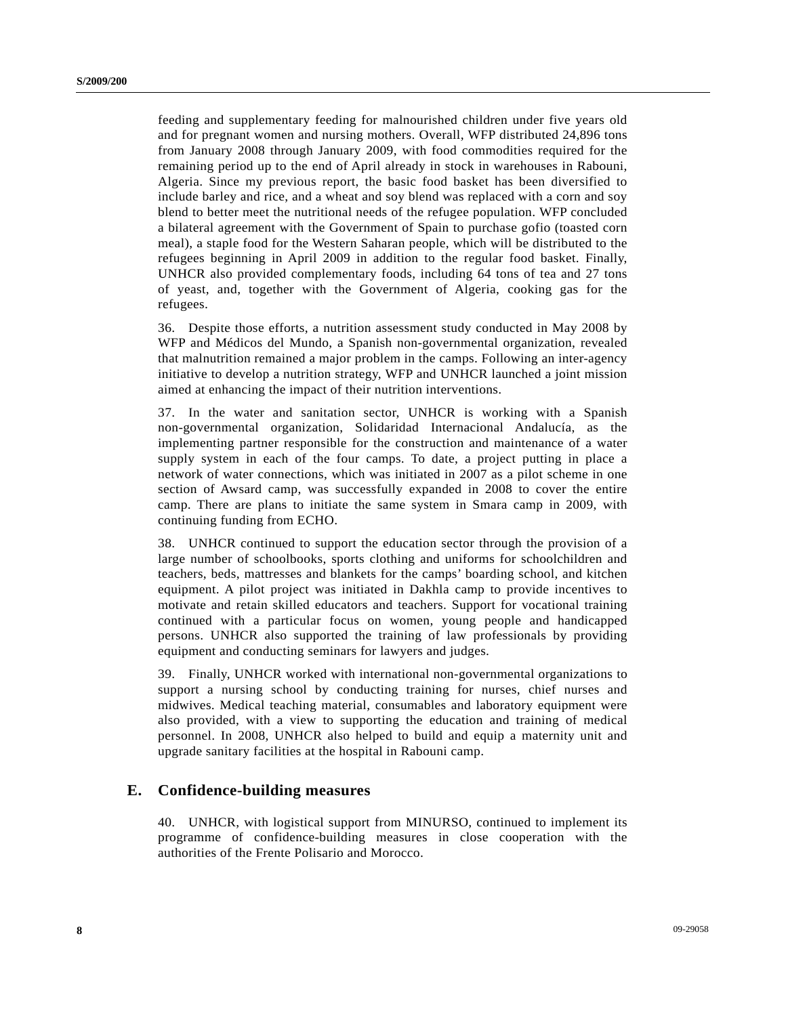feeding and supplementary feeding for malnourished children under five years old and for pregnant women and nursing mothers. Overall, WFP distributed 24,896 tons from January 2008 through January 2009, with food commodities required for the remaining period up to the end of April already in stock in warehouses in Rabouni, Algeria. Since my previous report, the basic food basket has been diversified to include barley and rice, and a wheat and soy blend was replaced with a corn and soy blend to better meet the nutritional needs of the refugee population. WFP concluded a bilateral agreement with the Government of Spain to purchase gofio (toasted corn meal), a staple food for the Western Saharan people, which will be distributed to the refugees beginning in April 2009 in addition to the regular food basket. Finally, UNHCR also provided complementary foods, including 64 tons of tea and 27 tons of yeast, and, together with the Government of Algeria, cooking gas for the refugees.

36. Despite those efforts, a nutrition assessment study conducted in May 2008 by WFP and Médicos del Mundo, a Spanish non-governmental organization, revealed that malnutrition remained a major problem in the camps. Following an inter-agency initiative to develop a nutrition strategy, WFP and UNHCR launched a joint mission aimed at enhancing the impact of their nutrition interventions.

37. In the water and sanitation sector, UNHCR is working with a Spanish non-governmental organization, Solidaridad Internacional Andalucía, as the implementing partner responsible for the construction and maintenance of a water supply system in each of the four camps. To date, a project putting in place a network of water connections, which was initiated in 2007 as a pilot scheme in one section of Awsard camp, was successfully expanded in 2008 to cover the entire camp. There are plans to initiate the same system in Smara camp in 2009, with continuing funding from ECHO.

38. UNHCR continued to support the education sector through the provision of a large number of schoolbooks, sports clothing and uniforms for schoolchildren and teachers, beds, mattresses and blankets for the camps' boarding school, and kitchen equipment. A pilot project was initiated in Dakhla camp to provide incentives to motivate and retain skilled educators and teachers. Support for vocational training continued with a particular focus on women, young people and handicapped persons. UNHCR also supported the training of law professionals by providing equipment and conducting seminars for lawyers and judges.

39. Finally, UNHCR worked with international non-governmental organizations to support a nursing school by conducting training for nurses, chief nurses and midwives. Medical teaching material, consumables and laboratory equipment were also provided, with a view to supporting the education and training of medical personnel. In 2008, UNHCR also helped to build and equip a maternity unit and upgrade sanitary facilities at the hospital in Rabouni camp.

### **E. Confidence-building measures**

40. UNHCR, with logistical support from MINURSO, continued to implement its programme of confidence-building measures in close cooperation with the authorities of the Frente Polisario and Morocco.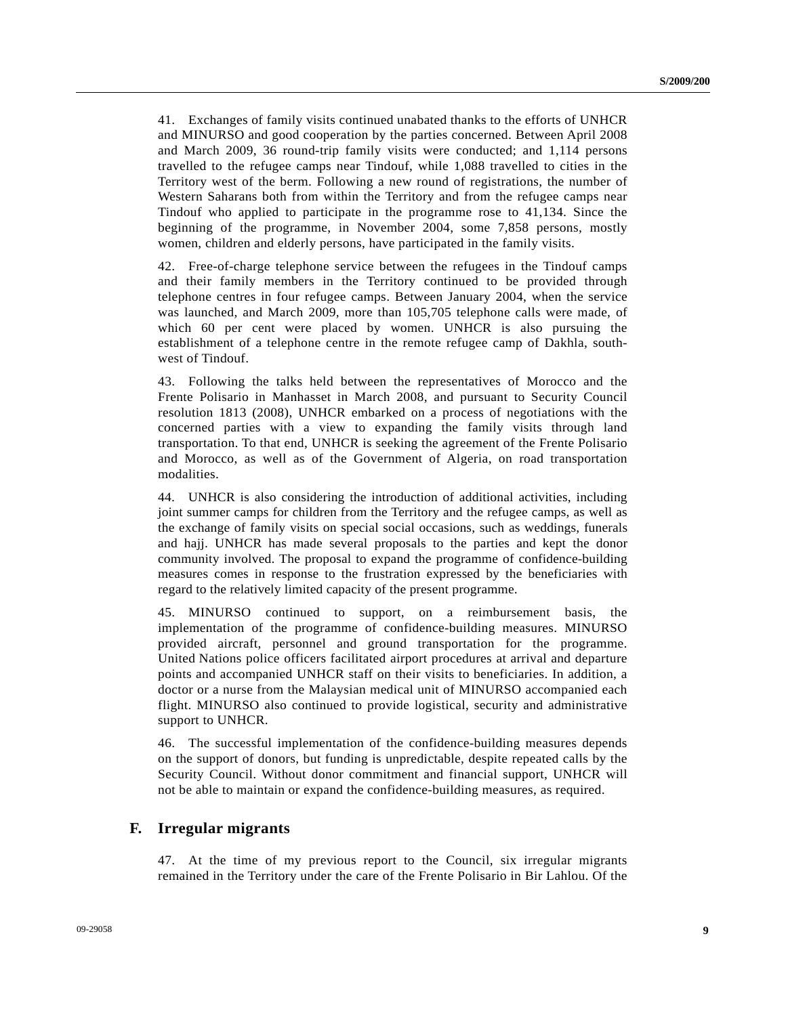41. Exchanges of family visits continued unabated thanks to the efforts of UNHCR and MINURSO and good cooperation by the parties concerned. Between April 2008 and March 2009, 36 round-trip family visits were conducted; and 1,114 persons travelled to the refugee camps near Tindouf, while 1,088 travelled to cities in the Territory west of the berm. Following a new round of registrations, the number of Western Saharans both from within the Territory and from the refugee camps near Tindouf who applied to participate in the programme rose to 41,134. Since the beginning of the programme, in November 2004, some 7,858 persons, mostly women, children and elderly persons, have participated in the family visits.

42. Free-of-charge telephone service between the refugees in the Tindouf camps and their family members in the Territory continued to be provided through telephone centres in four refugee camps. Between January 2004, when the service was launched, and March 2009, more than 105,705 telephone calls were made, of which 60 per cent were placed by women. UNHCR is also pursuing the establishment of a telephone centre in the remote refugee camp of Dakhla, southwest of Tindouf.

43. Following the talks held between the representatives of Morocco and the Frente Polisario in Manhasset in March 2008, and pursuant to Security Council resolution 1813 (2008), UNHCR embarked on a process of negotiations with the concerned parties with a view to expanding the family visits through land transportation. To that end, UNHCR is seeking the agreement of the Frente Polisario and Morocco, as well as of the Government of Algeria, on road transportation modalities.

44. UNHCR is also considering the introduction of additional activities, including joint summer camps for children from the Territory and the refugee camps, as well as the exchange of family visits on special social occasions, such as weddings, funerals and hajj. UNHCR has made several proposals to the parties and kept the donor community involved. The proposal to expand the programme of confidence-building measures comes in response to the frustration expressed by the beneficiaries with regard to the relatively limited capacity of the present programme.

45. MINURSO continued to support, on a reimbursement basis, the implementation of the programme of confidence-building measures. MINURSO provided aircraft, personnel and ground transportation for the programme. United Nations police officers facilitated airport procedures at arrival and departure points and accompanied UNHCR staff on their visits to beneficiaries. In addition, a doctor or a nurse from the Malaysian medical unit of MINURSO accompanied each flight. MINURSO also continued to provide logistical, security and administrative support to UNHCR.

46. The successful implementation of the confidence-building measures depends on the support of donors, but funding is unpredictable, despite repeated calls by the Security Council. Without donor commitment and financial support, UNHCR will not be able to maintain or expand the confidence-building measures, as required.

#### **F. Irregular migrants**

47. At the time of my previous report to the Council, six irregular migrants remained in the Territory under the care of the Frente Polisario in Bir Lahlou. Of the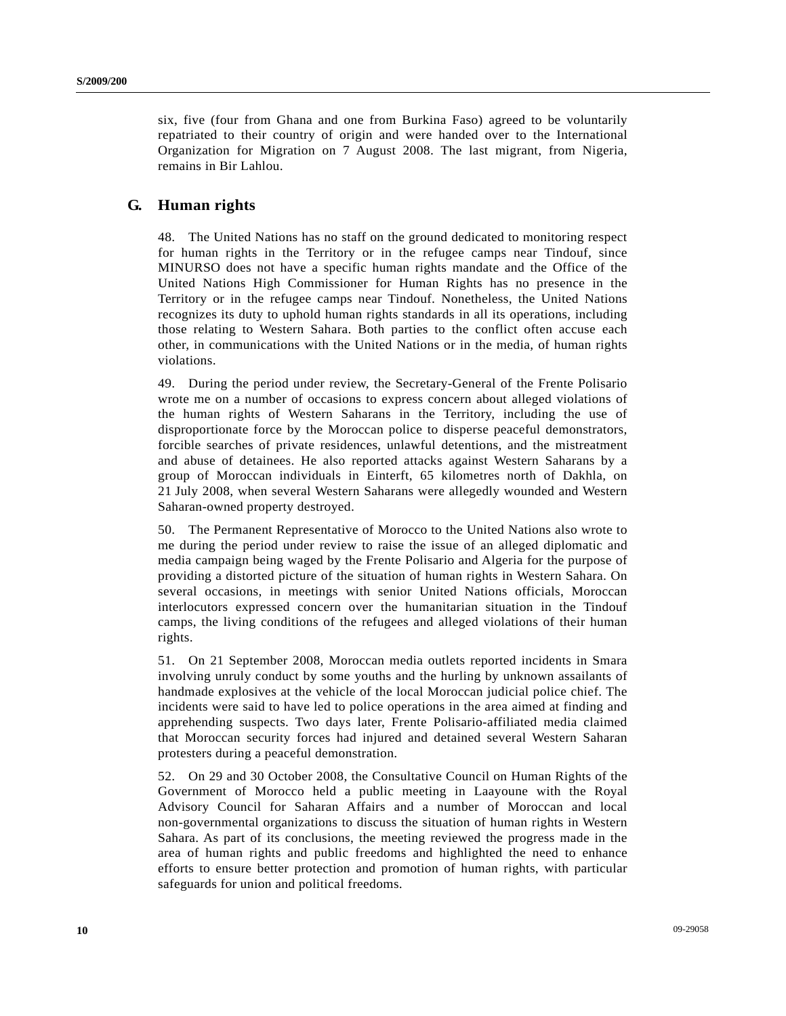six, five (four from Ghana and one from Burkina Faso) agreed to be voluntarily repatriated to their country of origin and were handed over to the International Organization for Migration on 7 August 2008. The last migrant, from Nigeria, remains in Bir Lahlou.

### **G. Human rights**

48. The United Nations has no staff on the ground dedicated to monitoring respect for human rights in the Territory or in the refugee camps near Tindouf, since MINURSO does not have a specific human rights mandate and the Office of the United Nations High Commissioner for Human Rights has no presence in the Territory or in the refugee camps near Tindouf. Nonetheless, the United Nations recognizes its duty to uphold human rights standards in all its operations, including those relating to Western Sahara. Both parties to the conflict often accuse each other, in communications with the United Nations or in the media, of human rights violations.

49. During the period under review, the Secretary-General of the Frente Polisario wrote me on a number of occasions to express concern about alleged violations of the human rights of Western Saharans in the Territory, including the use of disproportionate force by the Moroccan police to disperse peaceful demonstrators, forcible searches of private residences, unlawful detentions, and the mistreatment and abuse of detainees. He also reported attacks against Western Saharans by a group of Moroccan individuals in Einterft, 65 kilometres north of Dakhla, on 21 July 2008, when several Western Saharans were allegedly wounded and Western Saharan-owned property destroyed.

50. The Permanent Representative of Morocco to the United Nations also wrote to me during the period under review to raise the issue of an alleged diplomatic and media campaign being waged by the Frente Polisario and Algeria for the purpose of providing a distorted picture of the situation of human rights in Western Sahara. On several occasions, in meetings with senior United Nations officials, Moroccan interlocutors expressed concern over the humanitarian situation in the Tindouf camps, the living conditions of the refugees and alleged violations of their human rights.

51. On 21 September 2008, Moroccan media outlets reported incidents in Smara involving unruly conduct by some youths and the hurling by unknown assailants of handmade explosives at the vehicle of the local Moroccan judicial police chief. The incidents were said to have led to police operations in the area aimed at finding and apprehending suspects. Two days later, Frente Polisario-affiliated media claimed that Moroccan security forces had injured and detained several Western Saharan protesters during a peaceful demonstration.

52. On 29 and 30 October 2008, the Consultative Council on Human Rights of the Government of Morocco held a public meeting in Laayoune with the Royal Advisory Council for Saharan Affairs and a number of Moroccan and local non-governmental organizations to discuss the situation of human rights in Western Sahara. As part of its conclusions, the meeting reviewed the progress made in the area of human rights and public freedoms and highlighted the need to enhance efforts to ensure better protection and promotion of human rights, with particular safeguards for union and political freedoms.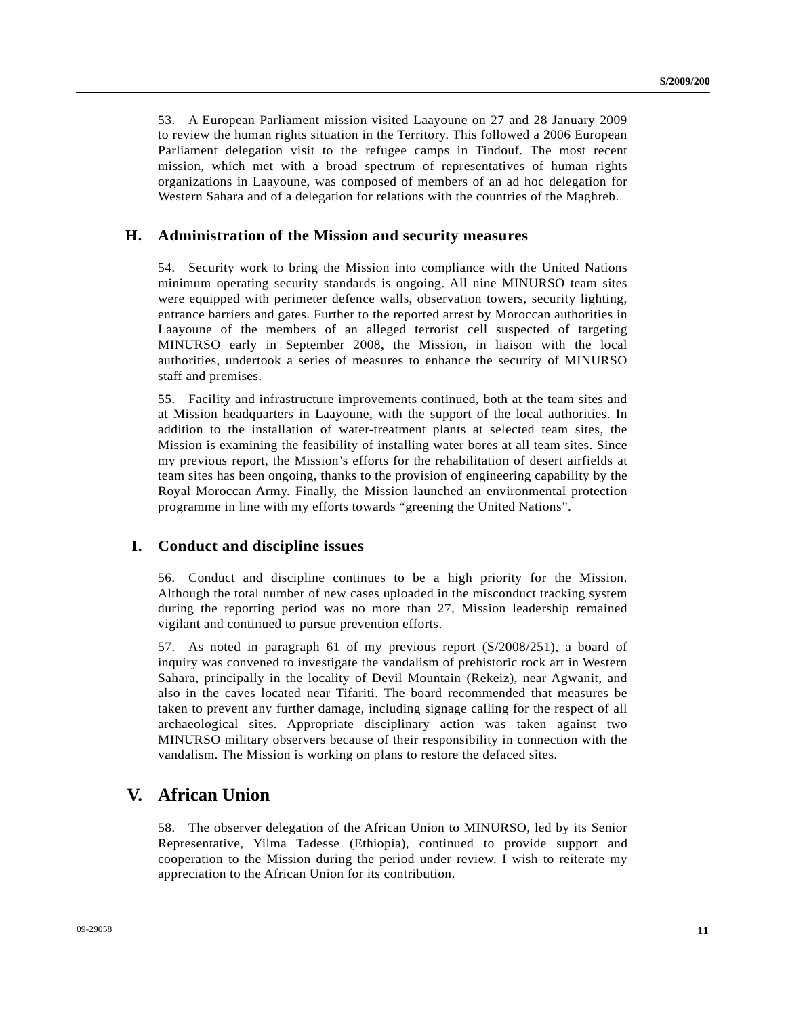53. A European Parliament mission visited Laayoune on 27 and 28 January 2009 to review the human rights situation in the Territory. This followed a 2006 European Parliament delegation visit to the refugee camps in Tindouf. The most recent mission, which met with a broad spectrum of representatives of human rights organizations in Laayoune, was composed of members of an ad hoc delegation for Western Sahara and of a delegation for relations with the countries of the Maghreb.

#### **H. Administration of the Mission and security measures**

54. Security work to bring the Mission into compliance with the United Nations minimum operating security standards is ongoing. All nine MINURSO team sites were equipped with perimeter defence walls, observation towers, security lighting, entrance barriers and gates. Further to the reported arrest by Moroccan authorities in Laayoune of the members of an alleged terrorist cell suspected of targeting MINURSO early in September 2008, the Mission, in liaison with the local authorities, undertook a series of measures to enhance the security of MINURSO staff and premises.

55. Facility and infrastructure improvements continued, both at the team sites and at Mission headquarters in Laayoune, with the support of the local authorities. In addition to the installation of water-treatment plants at selected team sites, the Mission is examining the feasibility of installing water bores at all team sites. Since my previous report, the Mission's efforts for the rehabilitation of desert airfields at team sites has been ongoing, thanks to the provision of engineering capability by the Royal Moroccan Army. Finally, the Mission launched an environmental protection programme in line with my efforts towards "greening the United Nations".

#### **I. Conduct and discipline issues**

56. Conduct and discipline continues to be a high priority for the Mission. Although the total number of new cases uploaded in the misconduct tracking system during the reporting period was no more than 27, Mission leadership remained vigilant and continued to pursue prevention efforts.

57. As noted in paragraph 61 of my previous report (S/2008/251), a board of inquiry was convened to investigate the vandalism of prehistoric rock art in Western Sahara, principally in the locality of Devil Mountain (Rekeiz), near Agwanit, and also in the caves located near Tifariti. The board recommended that measures be taken to prevent any further damage, including signage calling for the respect of all archaeological sites. Appropriate disciplinary action was taken against two MINURSO military observers because of their responsibility in connection with the vandalism. The Mission is working on plans to restore the defaced sites.

### **V. African Union**

58. The observer delegation of the African Union to MINURSO, led by its Senior Representative, Yilma Tadesse (Ethiopia), continued to provide support and cooperation to the Mission during the period under review. I wish to reiterate my appreciation to the African Union for its contribution.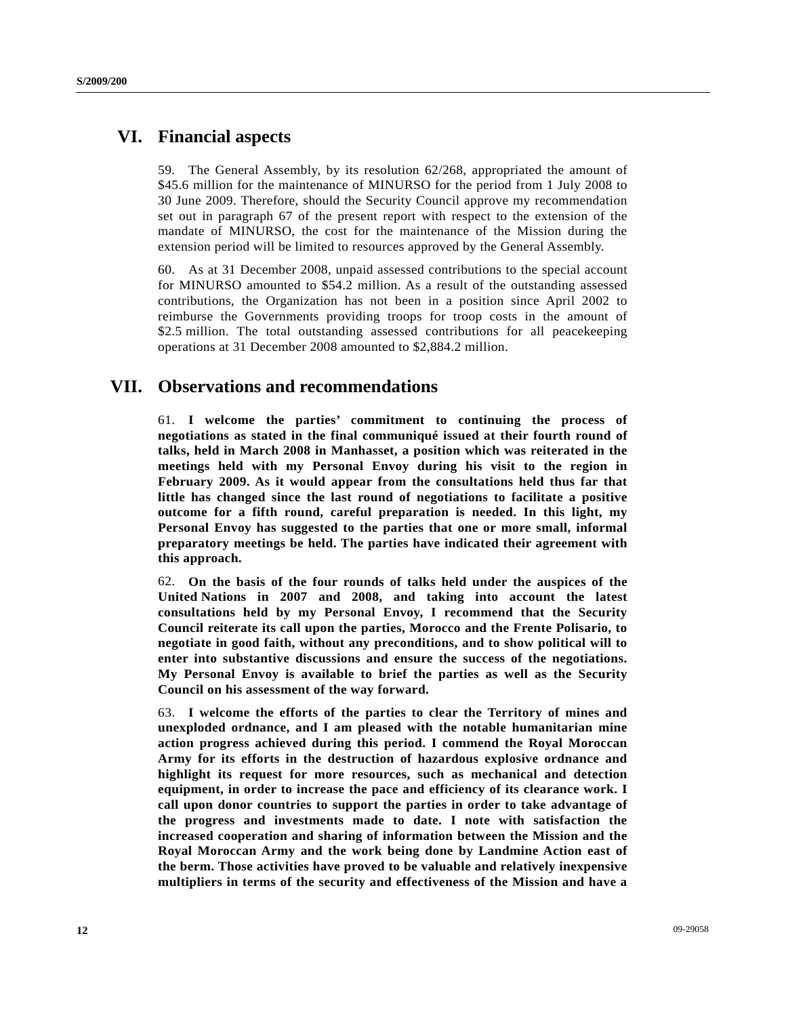## **VI. Financial aspects**

59. The General Assembly, by its resolution 62/268, appropriated the amount of \$45.6 million for the maintenance of MINURSO for the period from 1 July 2008 to 30 June 2009. Therefore, should the Security Council approve my recommendation set out in paragraph 67 of the present report with respect to the extension of the mandate of MINURSO, the cost for the maintenance of the Mission during the extension period will be limited to resources approved by the General Assembly.

60. As at 31 December 2008, unpaid assessed contributions to the special account for MINURSO amounted to \$54.2 million. As a result of the outstanding assessed contributions, the Organization has not been in a position since April 2002 to reimburse the Governments providing troops for troop costs in the amount of \$2.5 million. The total outstanding assessed contributions for all peace keeping operations at 31 December 2008 amounted to \$2,884.2 million.

## **VII. Observations and recommendations**

61. **I welcome the parties' commitment to continuing the process of negotiations as stated in the final communiqué issued at their fourth round of talks, held in March 2008 in Manhasset, a position which was reiterated in the meetings held with my Personal Envoy during his visit to the region in February 2009. As it would appear from the consultations held thus far that little has changed since the last round of negotiations to facilitate a positive outcome for a fifth round, careful preparation is needed. In this light, my Personal Envoy has suggested to the parties that one or more small, informal preparatory meetings be held. The parties have indicated their agreement with this approach.** 

62. **On the basis of the four rounds of talks held under the auspices of the United Nations in 2007 and 2008, and taking into account the latest consultations held by my Personal Envoy, I recommend that the Security Council reiterate its call upon the parties, Morocco and the Frente Polisario, to negotiate in good faith, without any preconditions, and to show political will to enter into substantive discussions and ensure the success of the negotiations. My Personal Envoy is available to brief the parties as well as the Security Council on his assessment of the way forward.**

63. **I welcome the efforts of the parties to clear the Territory of mines and unexploded ordnance, and I am pleased with the notable humanitarian mine action progress achieved during this period. I commend the Royal Moroccan Army for its efforts in the destruction of hazardous explosive ordnance and highlight its request for more resources, such as mechanical and detection equipment, in order to increase the pace and efficiency of its clearance work. I call upon donor countries to support the parties in order to take advantage of the progress and investments made to date. I note with satisfaction the increased cooperation and sharing of information between the Mission and the Royal Moroccan Army and the work being done by Landmine Action east of the berm. Those activities have proved to be valuable and relatively inexpensive multipliers in terms of the security and effectiveness of the Mission and have a**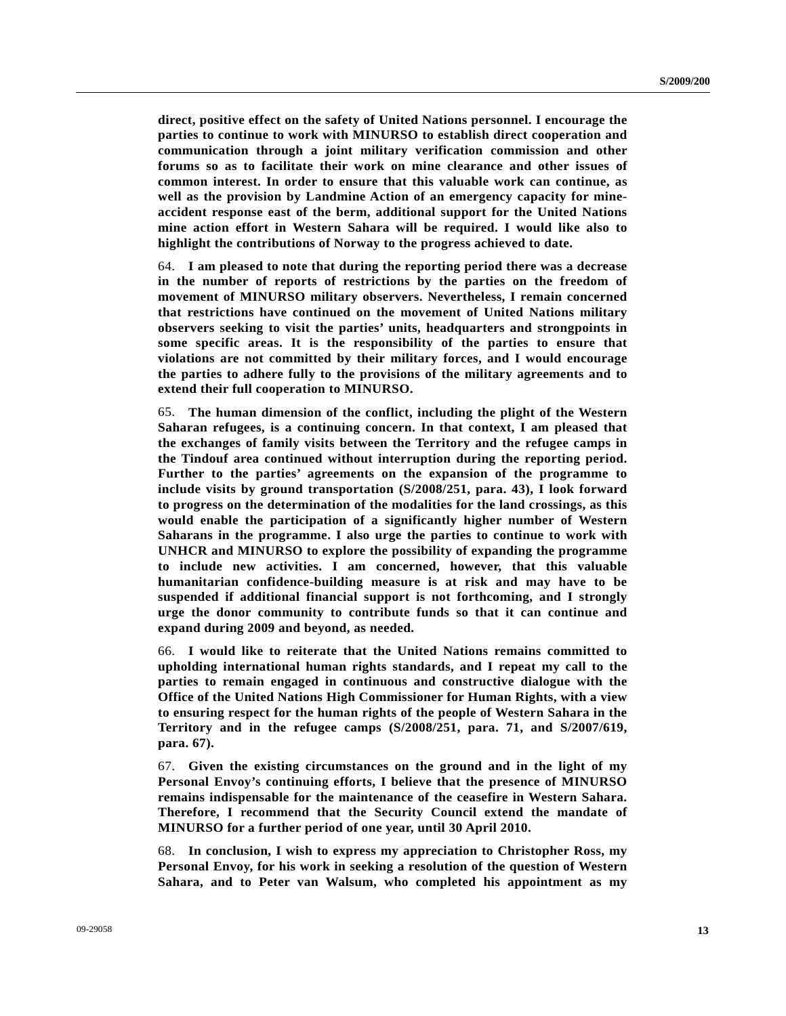**direct, positive effect on the safety of United Nations personnel. I encourage the parties to continue to work with MINURSO to establish direct cooperation and communication through a joint military verification commission and other forums so as to facilitate their work on mine clearance and other issues of common interest. In order to ensure that this valuable work can continue, as well as the provision by Landmine Action of an emergency capacity for mineaccident response east of the berm, additional support for the United Nations mine action effort in Western Sahara will be required. I would like also to highlight the contributions of Norway to the progress achieved to date.**

64. **I am pleased to note that during the reporting period there was a decrease in the number of reports of restrictions by the parties on the freedom of movement of MINURSO military observers. Nevertheless, I remain concerned that restrictions have continued on the movement of United Nations military observers seeking to visit the parties' units, headquarters and strongpoints in some specific areas. It is the responsibility of the parties to ensure that violations are not committed by their military forces, and I would encourage the parties to adhere fully to the provisions of the military agreements and to extend their full cooperation to MINURSO.**

65. **The human dimension of the conflict, including the plight of the Western Saharan refugees, is a continuing concern. In that context, I am pleased that the exchanges of family visits between the Territory and the refugee camps in the Tindouf area continued without interruption during the reporting period. Further to the parties' agreements on the expansion of the programme to include visits by ground transportation (S/2008/251, para. 43), I look forward to progress on the determination of the modalities for the land crossings, as this would enable the participation of a significantly higher number of Western Saharans in the programme. I also urge the parties to continue to work with UNHCR and MINURSO to explore the possibility of expanding the programme to include new activities. I am concerned, however, that this valuable humanitarian confidence-building measure is at risk and may have to be suspended if additional financial support is not forthcoming, and I strongly urge the donor community to contribute funds so that it can continue and expand during 2009 and beyond, as needed.**

66. **I would like to reiterate that the United Nations remains committed to upholding international human rights standards, and I repeat my call to the parties to remain engaged in continuous and constructive dialogue with the Office of the United Nations High Commissioner for Human Rights, with a view to ensuring respect for the human rights of the people of Western Sahara in the Territory and in the refugee camps (S/2008/251, para. 71, and S/2007/619, para. 67).**

67. **Given the existing circumstances on the ground and in the light of my Personal Envoy's continuing efforts, I believe that the presence of MINURSO remains indispensable for the maintenance of the ceasefire in Western Sahara. Therefore, I recommend that the Security Council extend the mandate of MINURSO for a further period of one year, until 30 April 2010.**

68. **In conclusion, I wish to express my appreciation to Christopher Ross, my Personal Envoy, for his work in seeking a resolution of the question of Western Sahara, and to Peter van Walsum, who completed his appointment as my**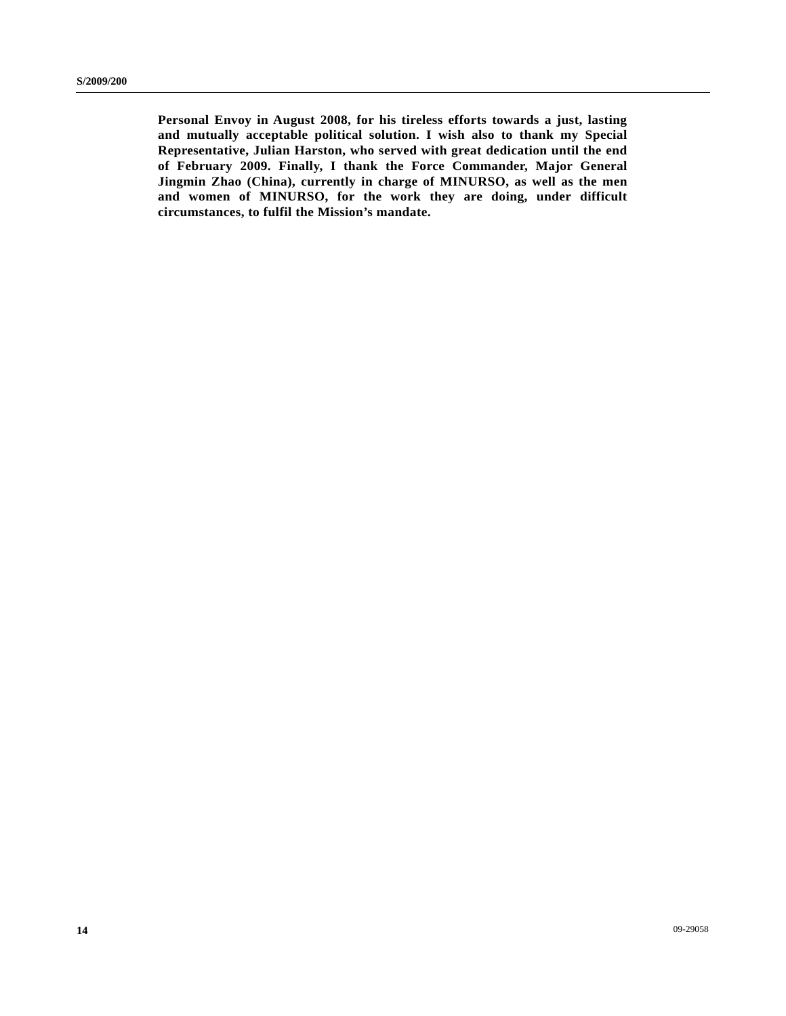**Personal Envoy in August 2008, for his tireless efforts towards a just, lasting and mutually acceptable political solution. I wish also to thank my Special Representative, Julian Harston, who served with great dedication until the end of February 2009. Finally, I thank the Force Commander, Major General Jingmin Zhao (China), currently in charge of MINURSO, as well as the men and women of MINURSO, for the work they are doing, under difficult circumstances, to fulfil the Mission's mandate.**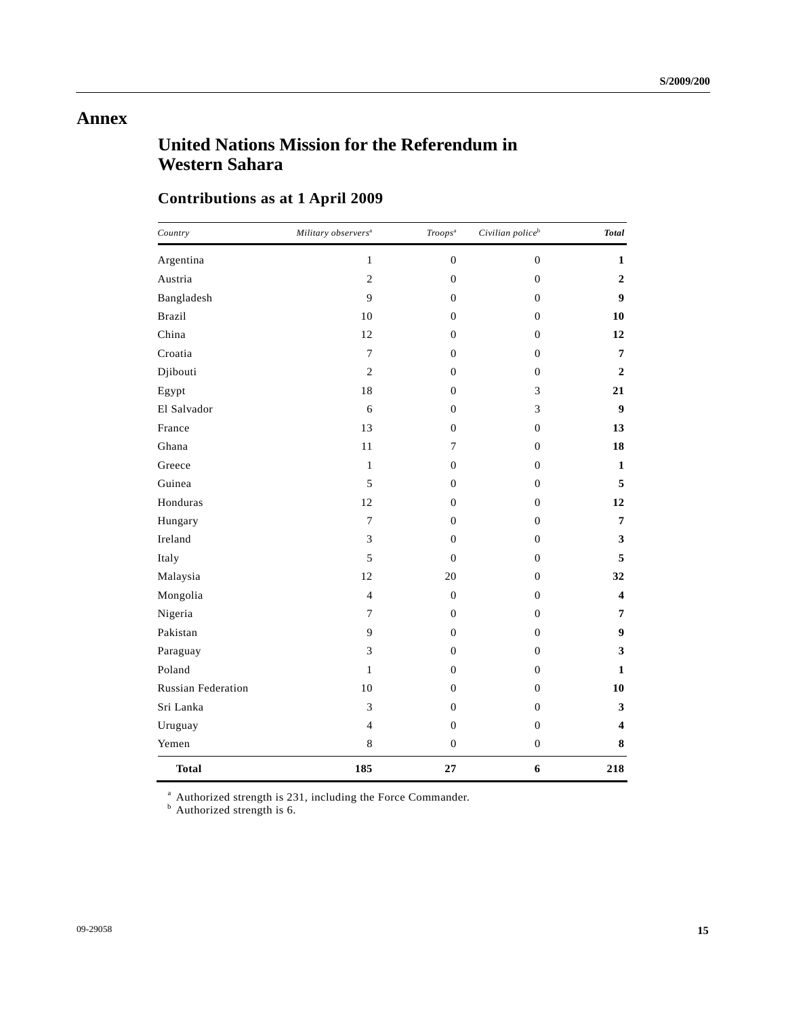## **Annex**

# **United Nations Mission for the Referendum in Western Sahara**

# **Contributions as at 1 April 2009**

| Country                   | Military observers <sup>a</sup> | Troops <sup>a</sup> | Civilian police <sup>b</sup> | <b>Total</b>            |
|---------------------------|---------------------------------|---------------------|------------------------------|-------------------------|
| Argentina                 | $\mathbf{1}$                    | $\boldsymbol{0}$    | $\boldsymbol{0}$             | $\mathbf{1}$            |
| Austria                   | $\overline{c}$                  | $\boldsymbol{0}$    | $\boldsymbol{0}$             | $\boldsymbol{2}$        |
| Bangladesh                | 9                               | $\overline{0}$      | $\boldsymbol{0}$             | 9                       |
| <b>Brazil</b>             | 10                              | $\overline{0}$      | $\boldsymbol{0}$             | 10                      |
| China                     | 12                              | $\boldsymbol{0}$    | $\boldsymbol{0}$             | 12                      |
| Croatia                   | $\overline{7}$                  | $\boldsymbol{0}$    | $\boldsymbol{0}$             | $\overline{7}$          |
| Djibouti                  | $\overline{c}$                  | $\boldsymbol{0}$    | $\boldsymbol{0}$             | $\boldsymbol{2}$        |
| Egypt                     | 18                              | $\overline{0}$      | 3                            | 21                      |
| El Salvador               | 6                               | $\overline{0}$      | 3                            | $\boldsymbol{9}$        |
| France                    | 13                              | $\mathbf{0}$        | $\mathbf{0}$                 | 13                      |
| Ghana                     | $11\,$                          | 7                   | $\boldsymbol{0}$             | 18                      |
| Greece                    | $\mathbf{1}$                    | $\boldsymbol{0}$    | $\boldsymbol{0}$             | $\mathbf{1}$            |
| Guinea                    | 5                               | $\overline{0}$      | $\mathbf{0}$                 | 5                       |
| Honduras                  | 12                              | $\overline{0}$      | $\mathbf{0}$                 | 12                      |
| Hungary                   | 7                               | $\theta$            | $\mathbf{0}$                 | $\overline{7}$          |
| Ireland                   | 3                               | $\boldsymbol{0}$    | $\boldsymbol{0}$             | 3                       |
| Italy                     | 5                               | $\boldsymbol{0}$    | $\boldsymbol{0}$             | 5                       |
| Malaysia                  | 12                              | 20                  | $\theta$                     | 32                      |
| Mongolia                  | $\overline{4}$                  | $\boldsymbol{0}$    | $\mathbf{0}$                 | $\overline{\mathbf{4}}$ |
| Nigeria                   | 7                               | $\boldsymbol{0}$    | $\mathbf{0}$                 | 7                       |
| Pakistan                  | 9                               | $\boldsymbol{0}$    | $\boldsymbol{0}$             | 9                       |
| Paraguay                  | $\mathfrak{Z}$                  | $\mathbf{0}$        | $\boldsymbol{0}$             | $\mathbf{3}$            |
| Poland                    | $\mathbf{1}$                    | $\overline{0}$      | $\boldsymbol{0}$             | $\mathbf{1}$            |
| <b>Russian Federation</b> | 10                              | $\overline{0}$      | $\boldsymbol{0}$             | 10                      |
| Sri Lanka                 | 3                               | $\boldsymbol{0}$    | $\boldsymbol{0}$             | 3                       |
| Uruguay                   | $\overline{4}$                  | $\boldsymbol{0}$    | $\boldsymbol{0}$             | 4                       |
| Yemen                     | $8\,$                           | $\boldsymbol{0}$    | $\boldsymbol{0}$             | 8                       |
| <b>Total</b>              | 185                             | 27                  | 6                            | 218                     |

<sup>a</sup> Authorized strength is 231, including the Force Commander.<br><sup>b</sup> Authorized strength is 6.